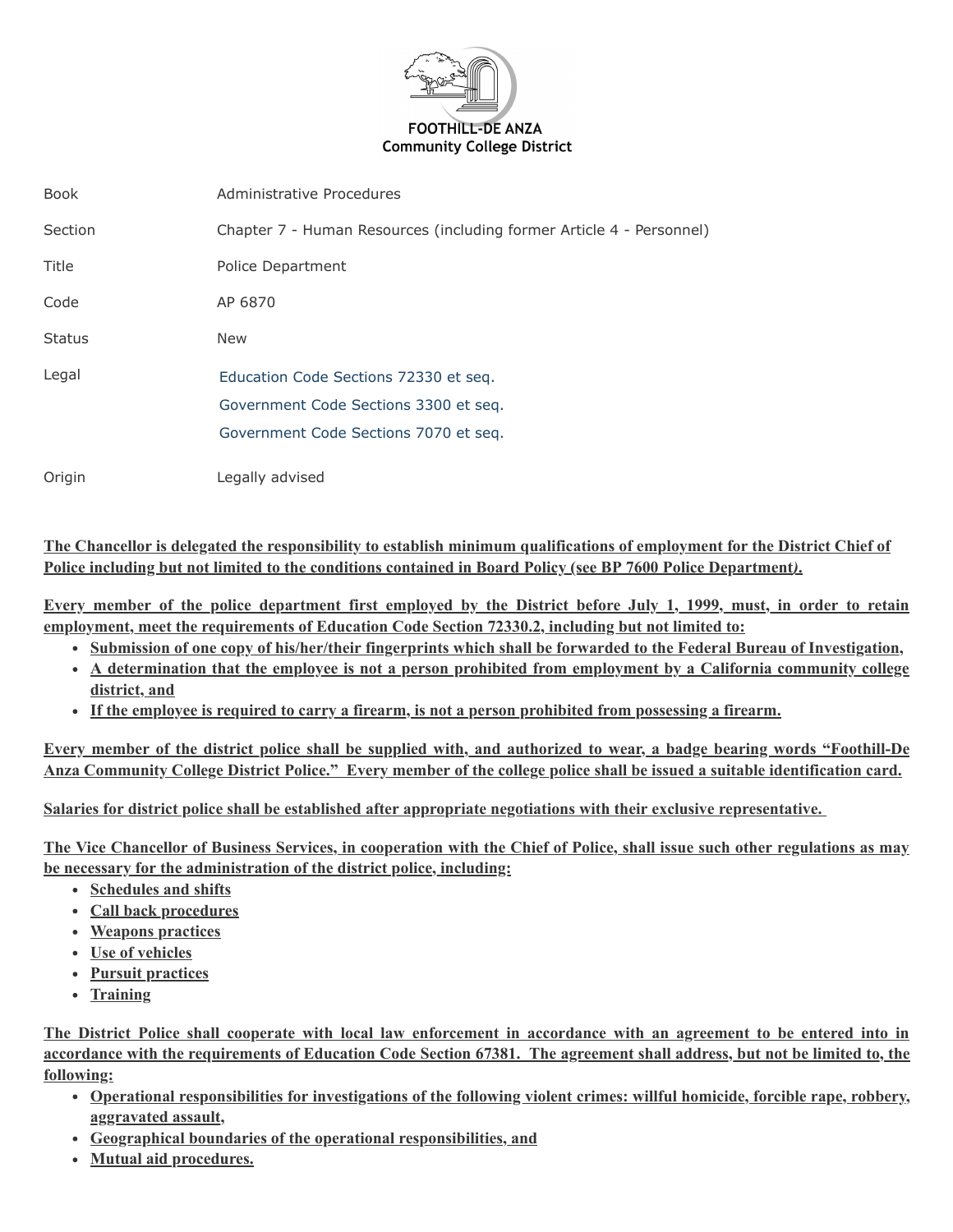

| <b>Book</b>   | Administrative Procedures                                            |
|---------------|----------------------------------------------------------------------|
| Section       | Chapter 7 - Human Resources (including former Article 4 - Personnel) |
| Title         | Police Department                                                    |
| Code          | AP 6870                                                              |
| <b>Status</b> | <b>New</b>                                                           |
| Legal         | Education Code Sections 72330 et seg.                                |
|               | Government Code Sections 3300 et seg.                                |
|               | Government Code Sections 7070 et seq.                                |
| Origin        | Legally advised                                                      |

**The Chancellor is delegated the responsibility to establish minimum qualifications of employment for the District Chief of Police including but not limited to the conditions contained in Board Policy (see BP 7600 Police Department***)***.**

**Every member of the police department first employed by the District before July 1, 1999, must, in order to retain employment, meet the requirements of Education Code Section 72330.2, including but not limited to:**

- **Submission of one copy of his/her/their fingerprints which shall be forwarded to the Federal Bureau of Investigation,**
- **A determination that the employee is not a person prohibited from employment by a California community college district, and**
- **If the employee is required to carry a firearm, is not a person prohibited from possessing a firearm.**

**Every member of the district police shall be supplied with, and authorized to wear, a badge bearing words "Foothill-De Anza Community College District Police." Every member of the college police shall be issued a suitable identification card.**

**Salaries for district police shall be established after appropriate negotiations with their exclusive representative.**

**The Vice Chancellor of Business Services, in cooperation with the Chief of Police, shall issue such other regulations as may be necessary for the administration of the district police, including:**

- **Schedules and shifts**
- **Call back procedures**
- **Weapons practices**
- **Use of vehicles**
- **Pursuit practices**
- **Training**

**The District Police shall cooperate with local law enforcement in accordance with an agreement to be entered into in accordance with the requirements of Education Code Section 67381. The agreement shall address, but not be limited to, the following:**

- **Operational responsibilities for investigations of the following violent crimes: willful homicide, forcible rape, robbery, aggravated assault,**
- **Geographical boundaries of the operational responsibilities, and**
- **Mutual aid procedures.**